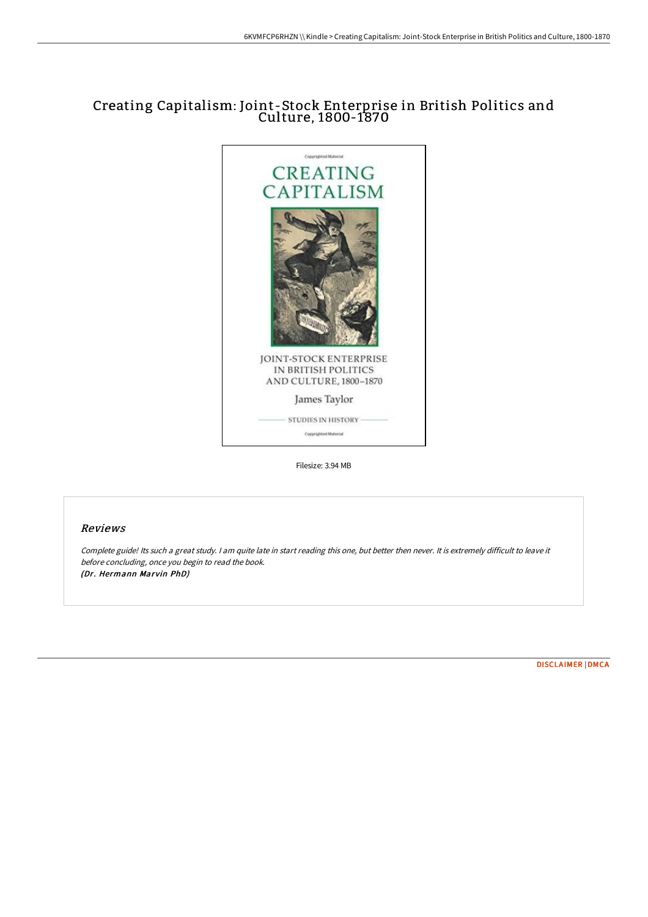## Creating Capitalism: Joint-Stock Enterprise in British Politics and Culture, 1800-1870



Filesize: 3.94 MB

## Reviews

Complete guide! Its such <sup>a</sup> great study. <sup>I</sup> am quite late in start reading this one, but better then never. It is extremely difficult to leave it before concluding, once you begin to read the book. (Dr. Hermann Marvin PhD)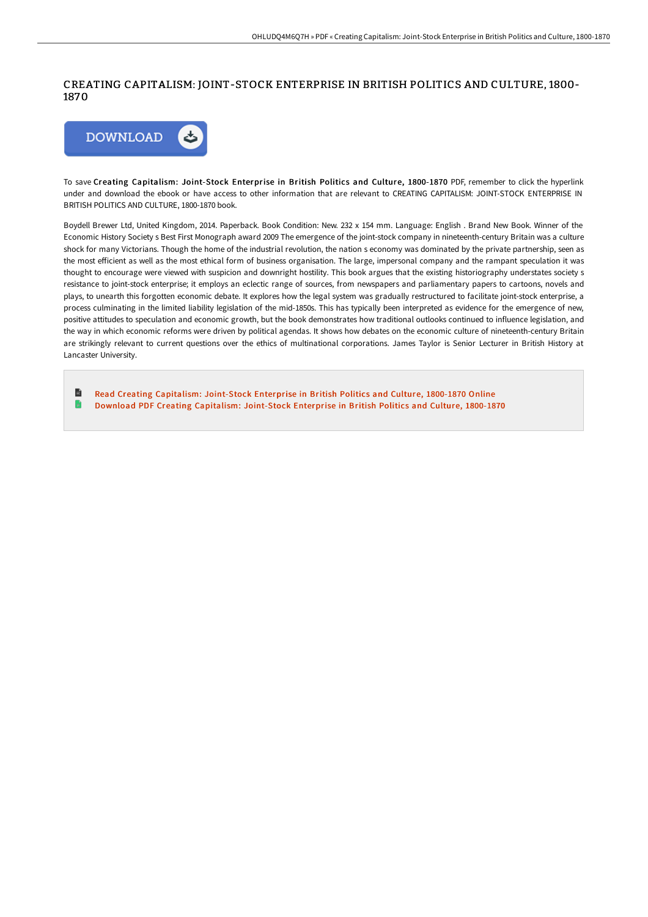## CREATING CAPITALISM: JOINT-STOCK ENTERPRISE IN BRITISH POLITICS AND CULTURE, 1800- 1870



To save Creating Capitalism: Joint-Stock Enterprise in British Politics and Culture, 1800-1870 PDF, remember to click the hyperlink under and download the ebook or have access to other information that are relevant to CREATING CAPITALISM: JOINT-STOCK ENTERPRISE IN BRITISH POLITICS AND CULTURE, 1800-1870 book.

Boydell Brewer Ltd, United Kingdom, 2014. Paperback. Book Condition: New. 232 x 154 mm. Language: English . Brand New Book. Winner of the Economic History Society s Best First Monograph award 2009 The emergence of the joint-stock company in nineteenth-century Britain was a culture shock for many Victorians. Though the home of the industrial revolution, the nation s economy was dominated by the private partnership, seen as the most efficient as well as the most ethical form of business organisation. The large, impersonal company and the rampant speculation it was thought to encourage were viewed with suspicion and downright hostility. This book argues that the existing historiography understates society s resistance to joint-stock enterprise; it employs an eclectic range of sources, from newspapers and parliamentary papers to cartoons, novels and plays, to unearth this forgotten economic debate. It explores how the legal system was gradually restructured to facilitate joint-stock enterprise, a process culminating in the limited liability legislation of the mid-1850s. This has typically been interpreted as evidence for the emergence of new, positive attitudes to speculation and economic growth, but the book demonstrates how traditional outlooks continued to influence legislation, and the way in which economic reforms were driven by political agendas. It shows how debates on the economic culture of nineteenth-century Britain are strikingly relevant to current questions over the ethics of multinational corporations. James Taylor is Senior Lecturer in British History at Lancaster University.

 $\blacksquare$ Read Creating Capitalism: [Joint-Stock](http://techno-pub.tech/creating-capitalism-joint-stock-enterprise-in-br.html) Enterprise in British Politics and Culture, 1800-1870 Online Ð Download PDF Creating Capitalism: [Joint-Stock](http://techno-pub.tech/creating-capitalism-joint-stock-enterprise-in-br.html) Enterprise in British Politics and Culture, 1800-1870